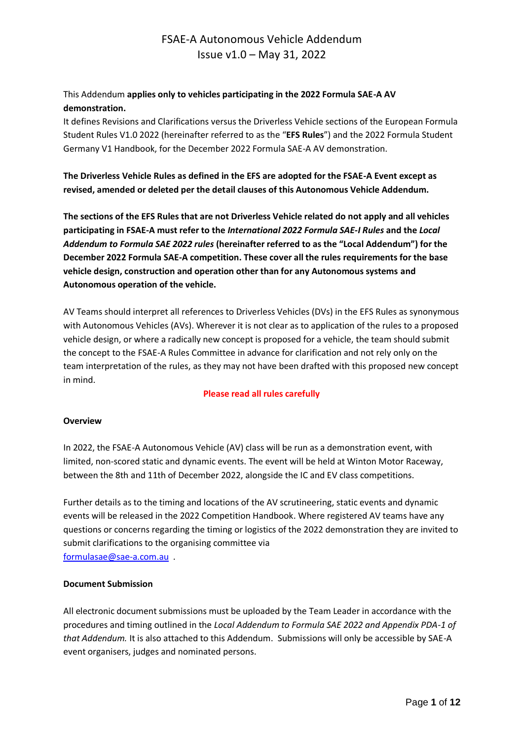### This Addendum **applies only to vehicles participating in the 2022 Formula SAE-A AV demonstration.**

It defines Revisions and Clarifications versus the Driverless Vehicle sections of the European Formula Student Rules V1.0 2022 (hereinafter referred to as the "**EFS Rules**") and the 2022 Formula Student Germany V1 Handbook, for the December 2022 Formula SAE-A AV demonstration.

**The Driverless Vehicle Rules as defined in the EFS are adopted for the FSAE-A Event except as revised, amended or deleted per the detail clauses of this Autonomous Vehicle Addendum.**

**The sections of the EFS Rules that are not Driverless Vehicle related do not apply and all vehicles participating in FSAE-A must refer to the** *International 2022 Formula SAE-I Rules* **and the** *Local Addendum to Formula SAE 2022 rules* **(hereinafter referred to as the "Local Addendum") for the December 2022 Formula SAE-A competition. These cover all the rules requirements for the base vehicle design, construction and operation other than for any Autonomous systems and Autonomous operation of the vehicle.** 

AV Teams should interpret all references to Driverless Vehicles (DVs) in the EFS Rules as synonymous with Autonomous Vehicles (AVs). Wherever it is not clear as to application of the rules to a proposed vehicle design, or where a radically new concept is proposed for a vehicle, the team should submit the concept to the FSAE-A Rules Committee in advance for clarification and not rely only on the team interpretation of the rules, as they may not have been drafted with this proposed new concept in mind.

#### **Please read all rules carefully**

#### **Overview**

In 2022, the FSAE-A Autonomous Vehicle (AV) class will be run as a demonstration event, with limited, non-scored static and dynamic events. The event will be held at Winton Motor Raceway, between the 8th and 11th of December 2022, alongside the IC and EV class competitions.

Further details as to the timing and locations of the AV scrutineering, static events and dynamic events will be released in the 2022 Competition Handbook. Where registered AV teams have any questions or concerns regarding the timing or logistics of the 2022 demonstration they are invited to submit clarifications to the organising committee via [formulasae@sae-a.com.au](mailto:formulasae@sae-a.com.au) .

#### **Document Submission**

All electronic document submissions must be uploaded by the Team Leader in accordance with the procedures and timing outlined in the *Local Addendum to Formula SAE 2022 and Appendix PDA-1 of that Addendum.* It is also attached to this Addendum. Submissions will only be accessible by SAE-A event organisers, judges and nominated persons.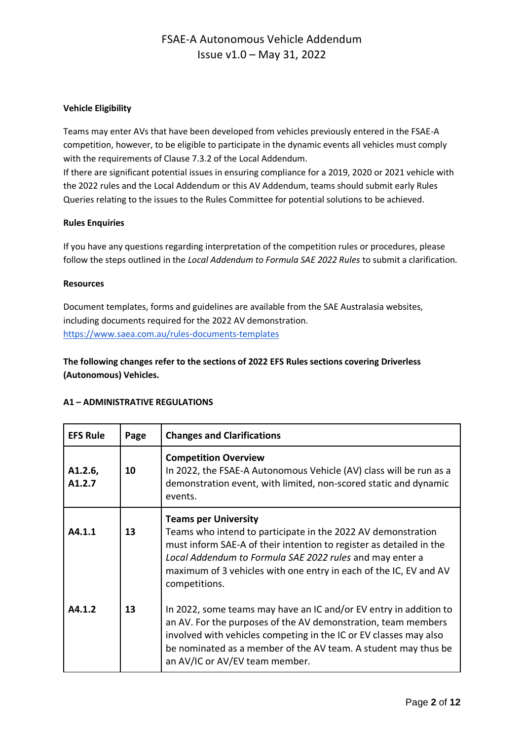#### **Vehicle Eligibility**

Teams may enter AVs that have been developed from vehicles previously entered in the FSAE-A competition, however, to be eligible to participate in the dynamic events all vehicles must comply with the requirements of Clause 7.3.2 of the Local Addendum.

If there are significant potential issues in ensuring compliance for a 2019, 2020 or 2021 vehicle with the 2022 rules and the Local Addendum or this AV Addendum, teams should submit early Rules Queries relating to the issues to the Rules Committee for potential solutions to be achieved.

#### **Rules Enquiries**

If you have any questions regarding interpretation of the competition rules or procedures, please follow the steps outlined in the *Local Addendum to Formula SAE 2022 Rules* to submit a clarification*.*

#### **Resources**

Document templates, forms and guidelines are available from the SAE Australasia websites, including documents required for the 2022 AV demonstration. <https://www.saea.com.au/rules-documents-templates>

### **The following changes refer to the sections of 2022 EFS Rules sections covering Driverless (Autonomous) Vehicles.**

#### **A1 – ADMINISTRATIVE REGULATIONS**

| <b>EFS Rule</b>                | Page | <b>Changes and Clarifications</b>                                                                                                                                                                                                                                                                                    |  |  |
|--------------------------------|------|----------------------------------------------------------------------------------------------------------------------------------------------------------------------------------------------------------------------------------------------------------------------------------------------------------------------|--|--|
| A1.2.6,<br>A <sub>1</sub> .2.7 | 10   | <b>Competition Overview</b><br>In 2022, the FSAE-A Autonomous Vehicle (AV) class will be run as a<br>demonstration event, with limited, non-scored static and dynamic<br>events.                                                                                                                                     |  |  |
| A4.1.1                         | 13   | <b>Teams per University</b><br>Teams who intend to participate in the 2022 AV demonstration<br>must inform SAE-A of their intention to register as detailed in the<br>Local Addendum to Formula SAE 2022 rules and may enter a<br>maximum of 3 vehicles with one entry in each of the IC, EV and AV<br>competitions. |  |  |
| A4.1.2                         | 13   | In 2022, some teams may have an IC and/or EV entry in addition to<br>an AV. For the purposes of the AV demonstration, team members<br>involved with vehicles competing in the IC or EV classes may also<br>be nominated as a member of the AV team. A student may thus be<br>an AV/IC or AV/EV team member.          |  |  |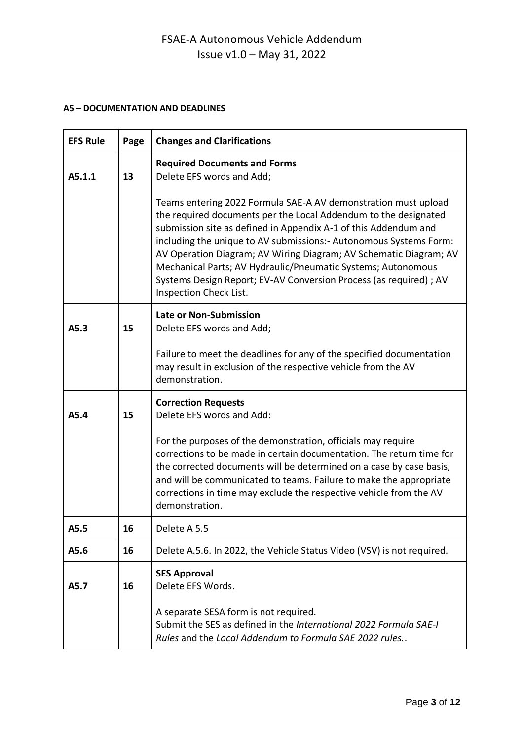### **A5 – DOCUMENTATION AND DEADLINES**

| <b>EFS Rule</b> | Page | <b>Changes and Clarifications</b>                                                                                                                                                                                                                                                                                                                                                                                                                                                                               |  |  |  |
|-----------------|------|-----------------------------------------------------------------------------------------------------------------------------------------------------------------------------------------------------------------------------------------------------------------------------------------------------------------------------------------------------------------------------------------------------------------------------------------------------------------------------------------------------------------|--|--|--|
| A5.1.1          | 13   | <b>Required Documents and Forms</b><br>Delete EFS words and Add;                                                                                                                                                                                                                                                                                                                                                                                                                                                |  |  |  |
|                 |      | Teams entering 2022 Formula SAE-A AV demonstration must upload<br>the required documents per the Local Addendum to the designated<br>submission site as defined in Appendix A-1 of this Addendum and<br>including the unique to AV submissions: - Autonomous Systems Form:<br>AV Operation Diagram; AV Wiring Diagram; AV Schematic Diagram; AV<br>Mechanical Parts; AV Hydraulic/Pneumatic Systems; Autonomous<br>Systems Design Report; EV-AV Conversion Process (as required) ; AV<br>Inspection Check List. |  |  |  |
| A5.3            | 15   | <b>Late or Non-Submission</b><br>Delete EFS words and Add;                                                                                                                                                                                                                                                                                                                                                                                                                                                      |  |  |  |
|                 |      | Failure to meet the deadlines for any of the specified documentation<br>may result in exclusion of the respective vehicle from the AV<br>demonstration.                                                                                                                                                                                                                                                                                                                                                         |  |  |  |
| A5.4            | 15   | <b>Correction Requests</b><br>Delete EFS words and Add:                                                                                                                                                                                                                                                                                                                                                                                                                                                         |  |  |  |
|                 |      | For the purposes of the demonstration, officials may require<br>corrections to be made in certain documentation. The return time for<br>the corrected documents will be determined on a case by case basis,<br>and will be communicated to teams. Failure to make the appropriate<br>corrections in time may exclude the respective vehicle from the AV<br>demonstration.                                                                                                                                       |  |  |  |
| A5.5            | 16   | Delete A 5.5                                                                                                                                                                                                                                                                                                                                                                                                                                                                                                    |  |  |  |
| A5.6            | 16   | Delete A.5.6. In 2022, the Vehicle Status Video (VSV) is not required.                                                                                                                                                                                                                                                                                                                                                                                                                                          |  |  |  |
| A5.7            | 16   | <b>SES Approval</b><br>Delete EFS Words.<br>A separate SESA form is not required.                                                                                                                                                                                                                                                                                                                                                                                                                               |  |  |  |
|                 |      | Submit the SES as defined in the International 2022 Formula SAE-I<br>Rules and the Local Addendum to Formula SAE 2022 rules                                                                                                                                                                                                                                                                                                                                                                                     |  |  |  |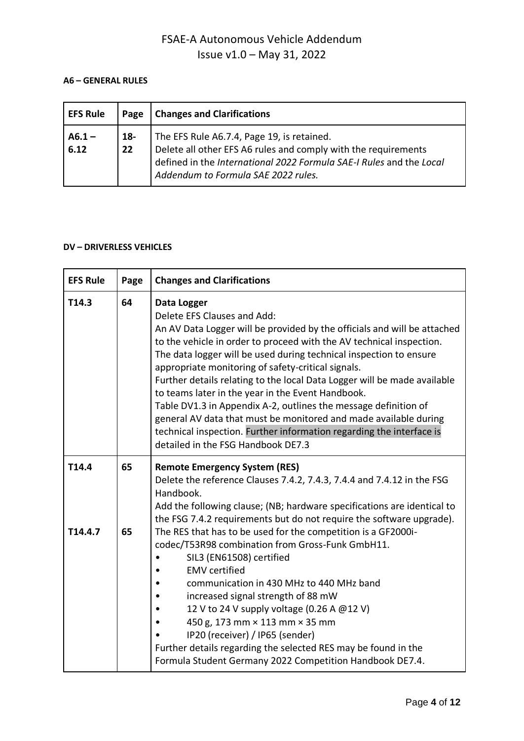#### **A6 – GENERAL RULES**

| <b>EFS Rule</b>  | Page         | <b>Changes and Clarifications</b>                                                                                                                                                                                                 |  |
|------------------|--------------|-----------------------------------------------------------------------------------------------------------------------------------------------------------------------------------------------------------------------------------|--|
| $A6.1 -$<br>6.12 | $18 -$<br>22 | The EFS Rule A6.7.4, Page 19, is retained.<br>Delete all other EFS A6 rules and comply with the requirements<br>defined in the <i>International 2022 Formula SAE-I Rules</i> and the Local<br>Addendum to Formula SAE 2022 rules. |  |

### **DV – DRIVERLESS VEHICLES**

| <b>EFS Rule</b>  | Page     | <b>Changes and Clarifications</b>                                                                                                                                                                                                                                                                                                                                                                                                                                                                                                                                                                                                                                                                                              |  |
|------------------|----------|--------------------------------------------------------------------------------------------------------------------------------------------------------------------------------------------------------------------------------------------------------------------------------------------------------------------------------------------------------------------------------------------------------------------------------------------------------------------------------------------------------------------------------------------------------------------------------------------------------------------------------------------------------------------------------------------------------------------------------|--|
| T14.3            | 64       | Data Logger<br>Delete EFS Clauses and Add:<br>An AV Data Logger will be provided by the officials and will be attached<br>to the vehicle in order to proceed with the AV technical inspection.<br>The data logger will be used during technical inspection to ensure<br>appropriate monitoring of safety-critical signals.<br>Further details relating to the local Data Logger will be made available<br>to teams later in the year in the Event Handbook.<br>Table DV1.3 in Appendix A-2, outlines the message definition of<br>general AV data that must be monitored and made available during<br>technical inspection. Further information regarding the interface is<br>detailed in the FSG Handbook DE7.3               |  |
| T14.4<br>T14.4.7 | 65<br>65 | <b>Remote Emergency System (RES)</b><br>Delete the reference Clauses 7.4.2, 7.4.3, 7.4.4 and 7.4.12 in the FSG<br>Handbook.<br>Add the following clause; (NB; hardware specifications are identical to<br>the FSG 7.4.2 requirements but do not require the software upgrade).<br>The RES that has to be used for the competition is a GF2000i-<br>codec/T53R98 combination from Gross-Funk GmbH11.<br>SIL3 (EN61508) certified<br><b>EMV</b> certified<br>communication in 430 MHz to 440 MHz band<br>increased signal strength of 88 mW<br>12 V to 24 V supply voltage (0.26 A @12 V)<br>450 g, 173 mm × 113 mm × 35 mm<br>IP20 (receiver) / IP65 (sender)<br>Further details regarding the selected RES may be found in the |  |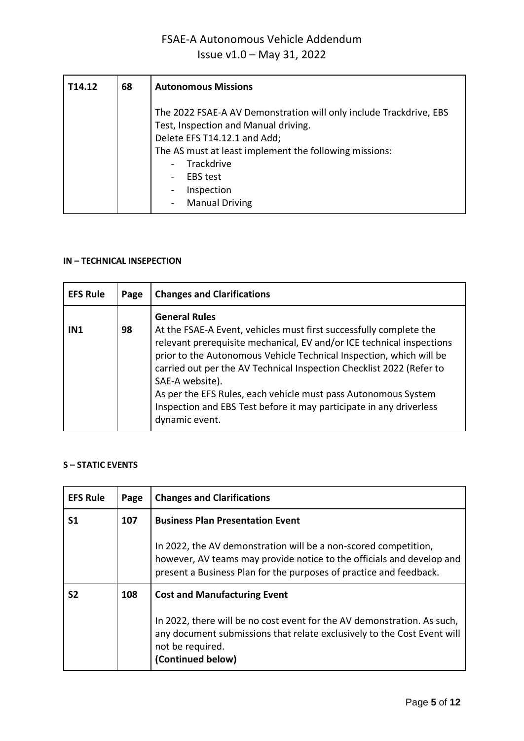| T14.12 | 68 | <b>Autonomous Missions</b>                                                                                                                                                                                                                                                                                                                     |
|--------|----|------------------------------------------------------------------------------------------------------------------------------------------------------------------------------------------------------------------------------------------------------------------------------------------------------------------------------------------------|
|        |    | The 2022 FSAE-A AV Demonstration will only include Trackdrive, EBS<br>Test, Inspection and Manual driving.<br>Delete EFS T14.12.1 and Add;<br>The AS must at least implement the following missions:<br>Trackdrive<br>$\overline{\phantom{a}}$<br><b>EBS</b> test<br>$\overline{\phantom{0}}$<br>Inspection<br>-<br><b>Manual Driving</b><br>- |

#### **IN – TECHNICAL INSEPECTION**

| <b>EFS Rule</b> | Page | <b>Changes and Clarifications</b>                                                                                                                                                                                                                                                                                                                                                                                                                                                                |
|-----------------|------|--------------------------------------------------------------------------------------------------------------------------------------------------------------------------------------------------------------------------------------------------------------------------------------------------------------------------------------------------------------------------------------------------------------------------------------------------------------------------------------------------|
| IN1             | 98   | <b>General Rules</b><br>At the FSAE-A Event, vehicles must first successfully complete the<br>relevant prerequisite mechanical, EV and/or ICE technical inspections<br>prior to the Autonomous Vehicle Technical Inspection, which will be<br>carried out per the AV Technical Inspection Checklist 2022 (Refer to<br>SAE-A website).<br>As per the EFS Rules, each vehicle must pass Autonomous System<br>Inspection and EBS Test before it may participate in any driverless<br>dynamic event. |

#### **S – STATIC EVENTS**

| <b>EFS Rule</b> | Page | <b>Changes and Clarifications</b>                                                                                                                                                                              |  |
|-----------------|------|----------------------------------------------------------------------------------------------------------------------------------------------------------------------------------------------------------------|--|
| S1              | 107  | <b>Business Plan Presentation Event</b>                                                                                                                                                                        |  |
|                 |      | In 2022, the AV demonstration will be a non-scored competition,<br>however, AV teams may provide notice to the officials and develop and<br>present a Business Plan for the purposes of practice and feedback. |  |
| S2              | 108  | <b>Cost and Manufacturing Event</b>                                                                                                                                                                            |  |
|                 |      | In 2022, there will be no cost event for the AV demonstration. As such,<br>any document submissions that relate exclusively to the Cost Event will<br>not be required.<br>(Continued below)                    |  |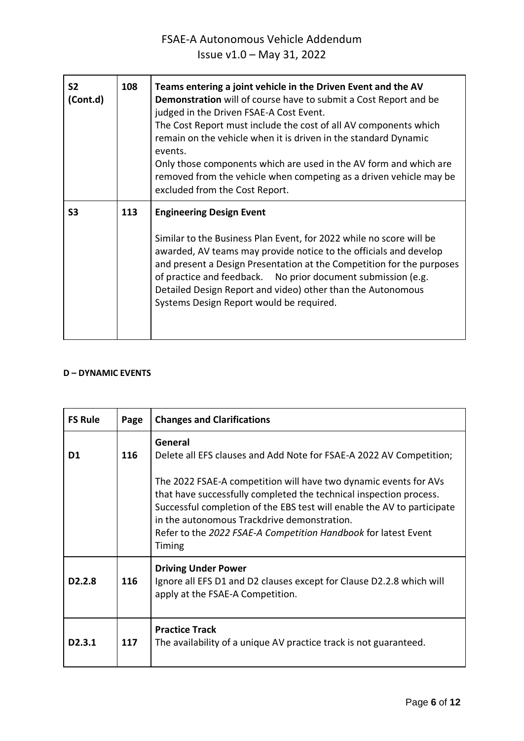| S <sub>2</sub><br>(Cont.d) | 108 | Teams entering a joint vehicle in the Driven Event and the AV<br>Demonstration will of course have to submit a Cost Report and be<br>judged in the Driven FSAE-A Cost Event.<br>The Cost Report must include the cost of all AV components which<br>remain on the vehicle when it is driven in the standard Dynamic<br>events.<br>Only those components which are used in the AV form and which are<br>removed from the vehicle when competing as a driven vehicle may be<br>excluded from the Cost Report. |  |
|----------------------------|-----|-------------------------------------------------------------------------------------------------------------------------------------------------------------------------------------------------------------------------------------------------------------------------------------------------------------------------------------------------------------------------------------------------------------------------------------------------------------------------------------------------------------|--|
| S3                         | 113 | <b>Engineering Design Event</b><br>Similar to the Business Plan Event, for 2022 while no score will be<br>awarded, AV teams may provide notice to the officials and develop<br>and present a Design Presentation at the Competition for the purposes<br>of practice and feedback. No prior document submission (e.g.<br>Detailed Design Report and video) other than the Autonomous<br>Systems Design Report would be required.                                                                             |  |

### **D – DYNAMIC EVENTS**

| <b>FS Rule</b>      | Page | <b>Changes and Clarifications</b>                                                                                                                                                                                                                                                                                                                                                                                    |  |  |
|---------------------|------|----------------------------------------------------------------------------------------------------------------------------------------------------------------------------------------------------------------------------------------------------------------------------------------------------------------------------------------------------------------------------------------------------------------------|--|--|
| D <sub>1</sub>      | 116  | General<br>Delete all EFS clauses and Add Note for FSAE-A 2022 AV Competition;<br>The 2022 FSAE-A competition will have two dynamic events for AVs<br>that have successfully completed the technical inspection process.<br>Successful completion of the EBS test will enable the AV to participate<br>in the autonomous Trackdrive demonstration.<br>Refer to the 2022 FSAE-A Competition Handbook for latest Event |  |  |
| D <sub>2</sub> .2.8 | 116  | Timing<br><b>Driving Under Power</b><br>Ignore all EFS D1 and D2 clauses except for Clause D2.2.8 which will<br>apply at the FSAE-A Competition.                                                                                                                                                                                                                                                                     |  |  |
| D <sub>2</sub> .3.1 | 117  | <b>Practice Track</b><br>The availability of a unique AV practice track is not guaranteed.                                                                                                                                                                                                                                                                                                                           |  |  |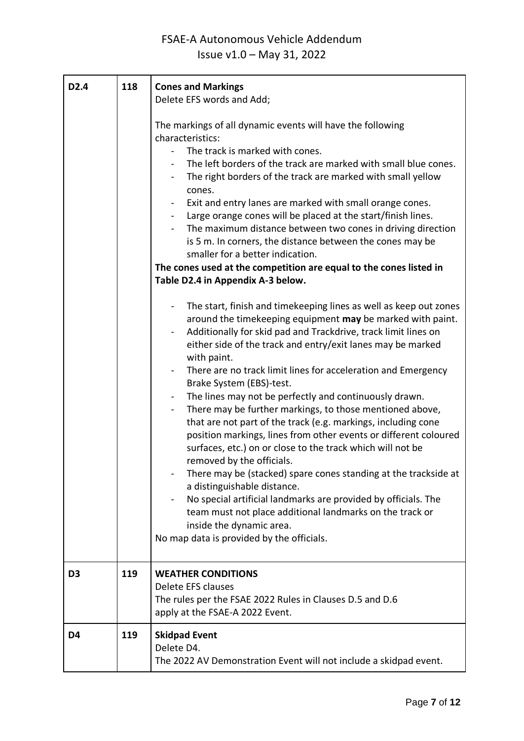| D <sub>2.4</sub> | 118 | <b>Cones and Markings</b><br>Delete EFS words and Add;<br>The markings of all dynamic events will have the following<br>characteristics:<br>The track is marked with cones.<br>The left borders of the track are marked with small blue cones.<br>The right borders of the track are marked with small yellow<br>cones.<br>Exit and entry lanes are marked with small orange cones.<br>Large orange cones will be placed at the start/finish lines.<br>The maximum distance between two cones in driving direction<br>is 5 m. In corners, the distance between the cones may be<br>smaller for a better indication.<br>The cones used at the competition are equal to the cones listed in<br>Table D2.4 in Appendix A-3 below.<br>The start, finish and timekeeping lines as well as keep out zones<br>around the timekeeping equipment may be marked with paint.<br>Additionally for skid pad and Trackdrive, track limit lines on<br>either side of the track and entry/exit lanes may be marked<br>with paint.<br>There are no track limit lines for acceleration and Emergency<br>Brake System (EBS)-test.<br>The lines may not be perfectly and continuously drawn.<br>There may be further markings, to those mentioned above,<br>$\blacksquare$ |  |
|------------------|-----|--------------------------------------------------------------------------------------------------------------------------------------------------------------------------------------------------------------------------------------------------------------------------------------------------------------------------------------------------------------------------------------------------------------------------------------------------------------------------------------------------------------------------------------------------------------------------------------------------------------------------------------------------------------------------------------------------------------------------------------------------------------------------------------------------------------------------------------------------------------------------------------------------------------------------------------------------------------------------------------------------------------------------------------------------------------------------------------------------------------------------------------------------------------------------------------------------------------------------------------------------------|--|
|                  |     | that are not part of the track (e.g. markings, including cone<br>position markings, lines from other events or different coloured<br>surfaces, etc.) on or close to the track which will not be<br>removed by the officials.<br>There may be (stacked) spare cones standing at the trackside at<br>a distinguishable distance.<br>No special artificial landmarks are provided by officials. The<br>team must not place additional landmarks on the track or<br>inside the dynamic area.<br>No map data is provided by the officials.                                                                                                                                                                                                                                                                                                                                                                                                                                                                                                                                                                                                                                                                                                                  |  |
| D <sub>3</sub>   | 119 | <b>WEATHER CONDITIONS</b><br>Delete EFS clauses<br>The rules per the FSAE 2022 Rules in Clauses D.5 and D.6<br>apply at the FSAE-A 2022 Event.                                                                                                                                                                                                                                                                                                                                                                                                                                                                                                                                                                                                                                                                                                                                                                                                                                                                                                                                                                                                                                                                                                         |  |
| D4               | 119 | <b>Skidpad Event</b><br>Delete D4.<br>The 2022 AV Demonstration Event will not include a skidpad event.                                                                                                                                                                                                                                                                                                                                                                                                                                                                                                                                                                                                                                                                                                                                                                                                                                                                                                                                                                                                                                                                                                                                                |  |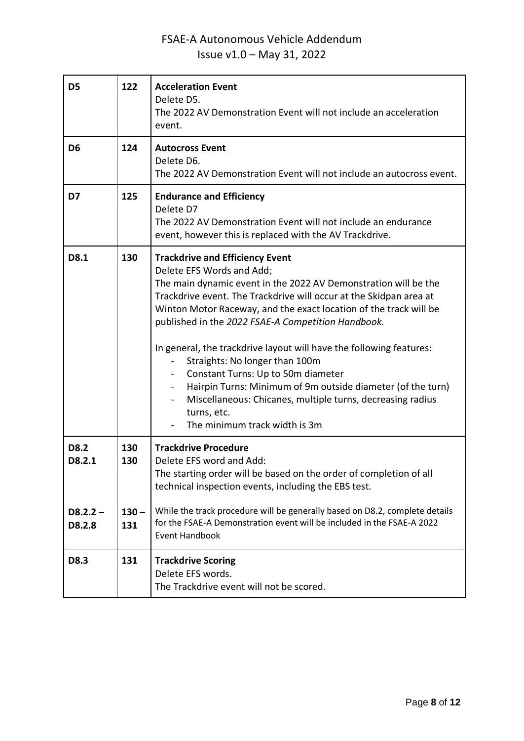| D <sub>5</sub>       | 122            | <b>Acceleration Event</b><br>Delete D5.<br>The 2022 AV Demonstration Event will not include an acceleration<br>event.                                                                                                                                                                                                                                                                                                                                                                                                                                                                                                                                               |  |  |
|----------------------|----------------|---------------------------------------------------------------------------------------------------------------------------------------------------------------------------------------------------------------------------------------------------------------------------------------------------------------------------------------------------------------------------------------------------------------------------------------------------------------------------------------------------------------------------------------------------------------------------------------------------------------------------------------------------------------------|--|--|
| D <sub>6</sub>       | 124            | <b>Autocross Event</b><br>Delete D6.<br>The 2022 AV Demonstration Event will not include an autocross event.                                                                                                                                                                                                                                                                                                                                                                                                                                                                                                                                                        |  |  |
| D7                   | 125            | <b>Endurance and Efficiency</b><br>Delete D7<br>The 2022 AV Demonstration Event will not include an endurance<br>event, however this is replaced with the AV Trackdrive.                                                                                                                                                                                                                                                                                                                                                                                                                                                                                            |  |  |
| D8.1                 | 130            | <b>Trackdrive and Efficiency Event</b><br>Delete EFS Words and Add;<br>The main dynamic event in the 2022 AV Demonstration will be the<br>Trackdrive event. The Trackdrive will occur at the Skidpan area at<br>Winton Motor Raceway, and the exact location of the track will be<br>published in the 2022 FSAE-A Competition Handbook.<br>In general, the trackdrive layout will have the following features:<br>Straights: No longer than 100m<br>Constant Turns: Up to 50m diameter<br>Hairpin Turns: Minimum of 9m outside diameter (of the turn)<br>Miscellaneous: Chicanes, multiple turns, decreasing radius<br>turns, etc.<br>The minimum track width is 3m |  |  |
| D8.2<br>D8.2.1       | 130<br>130     | <b>Trackdrive Procedure</b><br>Delete EFS word and Add:<br>The starting order will be based on the order of completion of all<br>technical inspection events, including the EBS test.                                                                                                                                                                                                                                                                                                                                                                                                                                                                               |  |  |
| $D8.2.2 -$<br>D8.2.8 | $130 -$<br>131 | While the track procedure will be generally based on D8.2, complete details<br>for the FSAE-A Demonstration event will be included in the FSAE-A 2022<br><b>Event Handbook</b>                                                                                                                                                                                                                                                                                                                                                                                                                                                                                      |  |  |
| D8.3                 | 131            | <b>Trackdrive Scoring</b><br>Delete EFS words.<br>The Trackdrive event will not be scored.                                                                                                                                                                                                                                                                                                                                                                                                                                                                                                                                                                          |  |  |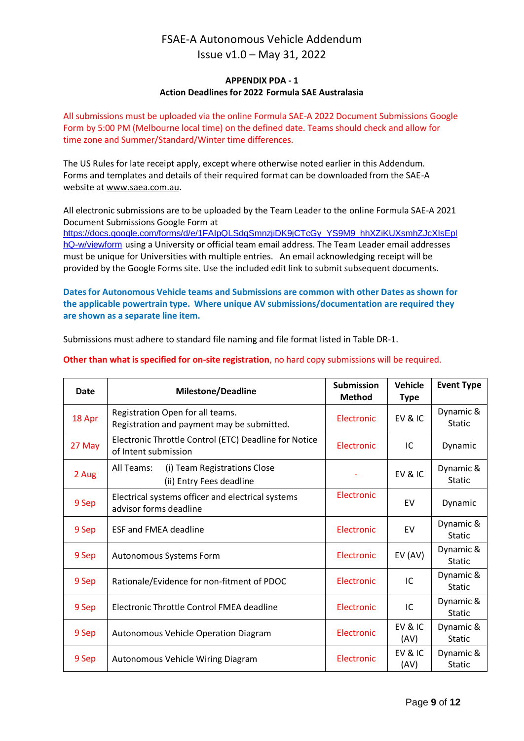#### **APPENDIX PDA - 1 Action Deadlines for 2022 Formula SAE Australasia**

All submissions must be uploaded [via the online Formula SAE-A 2022 Document Submissions Google](https://docs.google.com/forms/d/e/1FAIpQLSePcWMeVyt5dfYGTa7hGKqXcr4Ec4j7hSGACgi2zKhow6njzw/closedform)  [Form](https://docs.google.com/forms/d/e/1FAIpQLSePcWMeVyt5dfYGTa7hGKqXcr4Ec4j7hSGACgi2zKhow6njzw/closedform) by 5:00 PM (Melbourne local time) on the defined date. Teams should check and allow for time zone and Summer/Standard/Winter time differences.

The US Rules for late receipt apply, except where otherwise noted earlier in this Addendum. Forms and templates and details of their required format can be downloaded from the SAE-A website at [www.saea.com.au.](http://www.saea.com.au/Team-Information)

All electronic submissions are to be uploaded by the Team Leader to the [online Formula SAE-A 2021](https://docs.google.com/forms/d/e/1FAIpQLSePcWMeVyt5dfYGTa7hGKqXcr4Ec4j7hSGACgi2zKhow6njzw/closedform)  [Document Submissions Google Form](https://docs.google.com/forms/d/e/1FAIpQLSePcWMeVyt5dfYGTa7hGKqXcr4Ec4j7hSGACgi2zKhow6njzw/closedform) at

[https://docs.google.com/forms/d/e/1FAIpQLSdgSmnzjiDK9jCTcGy\\_YS9M9\\_hhXZiKUXsmhZJcXIsEpl](https://docs.google.com/forms/d/e/1FAIpQLSdgSmnzjiDK9jCTcGy_YS9M9_hhXZiKUXsmhZJcXIsEplhQ-w/viewform) [hQ-w/viewform](https://docs.google.com/forms/d/e/1FAIpQLSdgSmnzjiDK9jCTcGy_YS9M9_hhXZiKUXsmhZJcXIsEplhQ-w/viewform) using a University or official team email address. The Team Leader email addresses must be unique for Universities with multiple entries. An email acknowledging receipt will be provided by the Google Forms site. Use the included edit link to submit subsequent documents.

**Dates for Autonomous Vehicle teams and Submissions are common with other Dates as shown for the applicable powertrain type. Where unique AV submissions/documentation are required they are shown as a separate line item.**

Submissions must adhere to standard file naming and file format listed in Table DR-1.

| Date   | <b>Milestone/Deadline</b>                                                      | <b>Submission</b><br><b>Method</b> | <b>Vehicle</b><br><b>Type</b> | <b>Event Type</b>          |
|--------|--------------------------------------------------------------------------------|------------------------------------|-------------------------------|----------------------------|
| 18 Apr | Registration Open for all teams.<br>Registration and payment may be submitted. | <b>Electronic</b>                  | EV&IC                         | Dynamic &<br><b>Static</b> |
| 27 May | Electronic Throttle Control (ETC) Deadline for Notice<br>of Intent submission  | Electronic                         | IC                            | Dynamic                    |
| 2 Aug  | (i) Team Registrations Close<br>All Teams:<br>(ii) Entry Fees deadline         |                                    | EV&IC                         | Dynamic &<br><b>Static</b> |
| 9 Sep  | Electrical systems officer and electrical systems<br>advisor forms deadline    | Electronic                         | EV                            | Dynamic                    |
| 9 Sep  | <b>ESF and FMEA deadline</b>                                                   | Electronic                         | EV                            | Dynamic &<br><b>Static</b> |
| 9 Sep  | Autonomous Systems Form                                                        | Electronic                         | EV (AV)                       | Dynamic &<br><b>Static</b> |
| 9 Sep  | Rationale/Evidence for non-fitment of PDOC                                     | Electronic                         | IC                            | Dynamic &<br><b>Static</b> |
| 9 Sep  | Electronic Throttle Control FMEA deadline                                      | Electronic                         | IC                            | Dynamic &<br><b>Static</b> |
| 9 Sep  | Autonomous Vehicle Operation Diagram                                           | Electronic                         | EV&IC<br>(AV)                 | Dynamic &<br><b>Static</b> |
| 9 Sep  | Autonomous Vehicle Wiring Diagram                                              | Electronic                         | EV&IC<br>(AV)                 | Dynamic &<br><b>Static</b> |

#### **Other than what is specified for on-site registration**, no hard copy submissions will be required.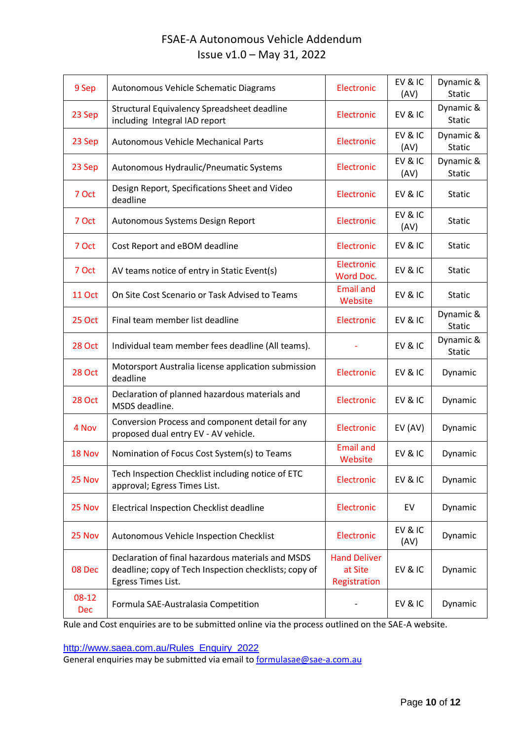| 9 Sep          | Autonomous Vehicle Schematic Diagrams                                                                                            | Electronic                                     | EV&IC<br>(AV) | Dynamic &<br><b>Static</b> |
|----------------|----------------------------------------------------------------------------------------------------------------------------------|------------------------------------------------|---------------|----------------------------|
| 23 Sep         | Structural Equivalency Spreadsheet deadline<br>including Integral IAD report                                                     | Electronic                                     | EV&IC         | Dynamic &<br><b>Static</b> |
| 23 Sep         | <b>Autonomous Vehicle Mechanical Parts</b>                                                                                       | Electronic                                     | EV&IC<br>(AV) | Dynamic &<br><b>Static</b> |
| 23 Sep         | Autonomous Hydraulic/Pneumatic Systems                                                                                           | Electronic                                     | EV&IC<br>(AV) | Dynamic &<br><b>Static</b> |
| 7 Oct          | Design Report, Specifications Sheet and Video<br>deadline                                                                        | Electronic                                     | EV&IC         | <b>Static</b>              |
| 7 Oct          | Autonomous Systems Design Report                                                                                                 | Electronic                                     | EV&IC<br>(AV) | <b>Static</b>              |
| 7 Oct          | Cost Report and eBOM deadline                                                                                                    | Electronic                                     | EV&IC         | <b>Static</b>              |
| 7 Oct          | AV teams notice of entry in Static Event(s)                                                                                      | Electronic<br>Word Doc.                        | EV&IC         | <b>Static</b>              |
| <b>11 Oct</b>  | On Site Cost Scenario or Task Advised to Teams                                                                                   | <b>Email and</b><br>Website                    | EV&IC         | <b>Static</b>              |
| <b>25 Oct</b>  | Final team member list deadline                                                                                                  | Electronic                                     | EV&IC         | Dynamic &<br><b>Static</b> |
| <b>28 Oct</b>  | Individual team member fees deadline (All teams).                                                                                |                                                | EV&IC         | Dynamic &<br><b>Static</b> |
| <b>28 Oct</b>  | Motorsport Australia license application submission<br>deadline                                                                  | Electronic                                     | EV&IC         | Dynamic                    |
| <b>28 Oct</b>  | Declaration of planned hazardous materials and<br>MSDS deadline.                                                                 | Electronic                                     | EV&IC         | Dynamic                    |
| 4 Nov          | Conversion Process and component detail for any<br>proposed dual entry EV - AV vehicle.                                          | Electronic                                     | EV (AV)       | Dynamic                    |
| 18 Nov         | Nomination of Focus Cost System(s) to Teams                                                                                      | <b>Email and</b><br>Website                    | EV&IC         | Dynamic                    |
| 25 Nov         | Tech Inspection Checklist including notice of ETC<br>approval; Egress Times List.                                                | Electronic                                     | EV&IC         | Dynamic                    |
| 25 Nov         | <b>Electrical Inspection Checklist deadline</b>                                                                                  | Electronic                                     | EV            | Dynamic                    |
| 25 Nov         | Autonomous Vehicle Inspection Checklist                                                                                          | Electronic                                     | EV&IC<br>(AV) | Dynamic                    |
| 08 Dec         | Declaration of final hazardous materials and MSDS<br>deadline; copy of Tech Inspection checklists; copy of<br>Egress Times List. | <b>Hand Deliver</b><br>at Site<br>Registration | EV&IC         | Dynamic                    |
| $08-12$<br>Dec | Formula SAE-Australasia Competition                                                                                              |                                                | EV&IC         | Dynamic                    |

Rule and Cost enquiries are to be submitted online via the process outlined on the SAE-A website.

[http://www.saea.com.au/Rules\\_Enquiry\\_2022](http://www.saea.com.au/Rules_Enquiry_2022)

General enquiries may be submitted via email to formulasae@sae-a.com.au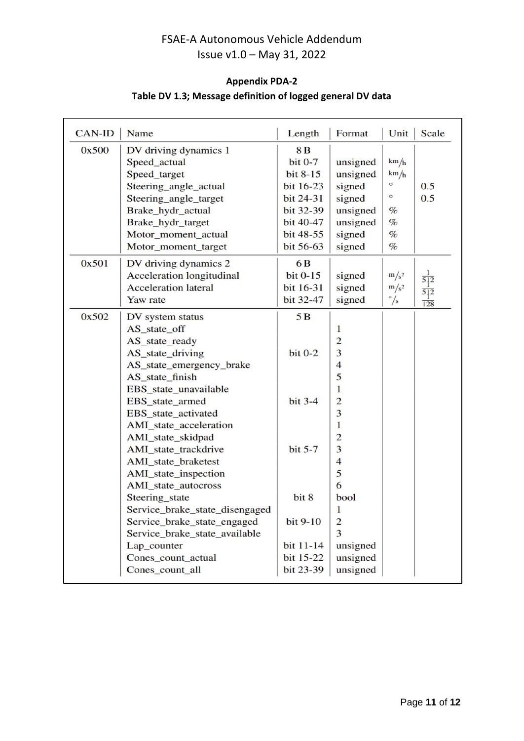### **Appendix PDA-2**

### **Table DV 1.3; Message definition of logged general DV data**

| <b>CAN-ID</b> | Name                           | Length         | Format                  | Unit         | Scale            |
|---------------|--------------------------------|----------------|-------------------------|--------------|------------------|
| 0x500         | DV driving dynamics 1          | 8 <sub>B</sub> |                         |              |                  |
|               | Speed_actual                   | $bit 0-7$      | unsigned                | km/h         |                  |
|               | Speed_target                   | bit 8-15       | unsigned                | km/h         |                  |
|               | Steering_angle_actual          | bit 16-23      | signed                  | $\circ$      | 0.5              |
|               | Steering_angle_target          | bit 24-31      | signed                  | $\circ$      | 0.5              |
|               | Brake_hydr_actual              | bit 32-39      | unsigned                | %            |                  |
|               | Brake_hydr_target              | bit 40-47      | unsigned                | $\%$         |                  |
|               | Motor_moment_actual            | bit 48-55      | signed                  | $\%$         |                  |
|               | Motor_moment_target            | bit 56-63      | signed                  | $\%$         |                  |
| 0x501         | DV driving dynamics 2          | 6 <sub>B</sub> |                         |              |                  |
|               | Acceleration longitudinal      | bit $0-15$     | signed                  | $m/s^2$      |                  |
|               | <b>Acceleration lateral</b>    | bit 16-31      | signed                  | $m/s^2$      |                  |
|               | Yaw rate                       | bit 32-47      | signed                  | $\degree$ /s | $\overline{128}$ |
| 0x502         | DV system status               | 5B             |                         |              |                  |
|               | AS_state_off                   |                | $\mathbf{1}$            |              |                  |
|               | AS_state_ready                 |                | $\overline{c}$          |              |                  |
|               | AS_state_driving               | $bit 0-2$      | 3                       |              |                  |
|               | AS_state_emergency_brake       |                | $\overline{\mathbf{4}}$ |              |                  |
|               | AS_state_finish                |                | 5                       |              |                  |
|               | EBS_state_unavailable          |                | 1                       |              |                  |
|               | EBS_state_armed                | bit $3-4$      | $\overline{c}$          |              |                  |
|               | EBS_state_activated            |                | 3                       |              |                  |
|               | AMI_state_acceleration         |                | 1                       |              |                  |
|               | AMI_state_skidpad              |                | $\overline{c}$          |              |                  |
|               | AMI_state_trackdrive           | bit $5-7$      | 3                       |              |                  |
|               | AMI_state_braketest            |                | $\overline{4}$          |              |                  |
|               | AMI_state_inspection           |                | 5                       |              |                  |
|               | AMI_state_autocross            |                | 6                       |              |                  |
|               | Steering_state                 | bit 8          | bool                    |              |                  |
|               | Service_brake_state_disengaged |                | 1                       |              |                  |
|               | Service_brake_state_engaged    | bit 9-10       | $\overline{c}$          |              |                  |
|               | Service_brake_state_available  |                | 3                       |              |                  |
|               | Lap counter                    | bit 11-14      | unsigned                |              |                  |
|               | Cones_count_actual             | bit 15-22      | unsigned                |              |                  |
|               | Cones_count_all                | bit 23-39      | unsigned                |              |                  |